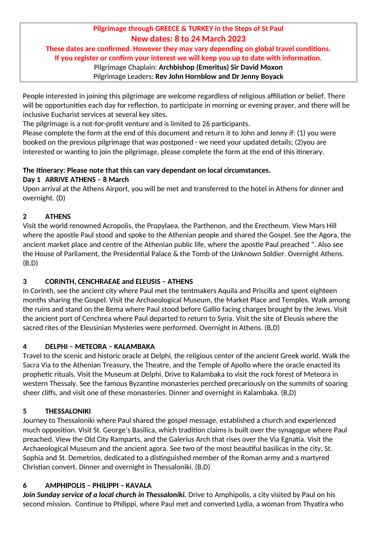# **Pilgrimage through GREECE & TURKEY in the Steps of St Paul New dates: 8 to 24 March 2023**

**These dates are confirmed. However they may vary depending on global travel conditions. If you register or confirm your interest we will keep you up to date with information.** 

### Pilgrimage Chaplain: **Archbishop (Emeritus) Sir David Moxon**

Pilgrimage Leaders: **Rev John Hornblow and Dr Jenny Boyack**

People interested in joining this pilgrimage are welcome regardless of religious affiliation or belief. There will be opportunities each day for reflection, to participate in morning or evening prayer, and there will be inclusive Eucharist services at several key sites.

The pilgrimage is a not-for-profit venture and is limited to 26 participants.

Please complete the form at the end of this document and return it to John and Jenny if: (1) you were booked on the previous pilgrimage that was postponed - we need your updated details; (2)you are interested or wanting to join the pilgrimage, please complete the form at the end of this itinerary.

# **The Itinerary: Please note that this can vary dependant on local circumstances.**

### **Day 1 ARRIVE ATHENS – 8 March**

Upon arrival at the Athens Airport, you will be met and transferred to the hotel in Athens for dinner and overnight. (D)

# **2 ATHENS**

Visit the world renowned Acropolis, the Propylaea, the Parthenon, and the Erectheum. View Mars Hill where the apostle Paul stood and spoke to the Athenian people and shared the Gospel. See the Agora, the ancient market place and centre of the Athenian public life, where the apostle Paul preached ". Also see the House of Parliament, the Presidential Palace & the Tomb of the Unknown Soldier. Overnight Athens. (B,D)

# **3 CORINTH, CENCHRAEAE and ELEUSIS – ATHENS**

In Corinth, see the ancient city where Paul met the tentmakers Aquila and Priscilla and spent eighteen months sharing the Gospel. Visit the Archaeological Museum, the Market Place and Temples. Walk among the ruins and stand on the Bema where Paul stood before Gallio facing charges brought by the Jews. Visit the ancient port of Cenchrea where Paul departed to return to Syria. Visit the site of Eleusis where the sacred rites of the Eleusinian Mysteries were performed. Overnight in Athens. (B,D)

# **4 DELPHI – METEORA – KALAMBAKA**

Travel to the scenic and historic oracle at Delphi, the religious center of the ancient Greek world. Walk the Sacra Via to the Athenian Treasury, the Theatre, and the Temple of Apollo where the oracle enacted its prophetic rituals. Visit the Museum at Delphi. Drive to Kalambaka to visit the rock forest of Meteora in western Thessaly. See the famous Byzantine monasteries perched precariously on the summits of soaring sheer cliffs, and visit one of these monasteries. Dinner and overnight in Kalambaka. (B,D)

# **5 THESSALONIKI**

Journey to Thessaloniki where Paul shared the gospel message, established a church and experienced much opposition. Visit St. George's Basilica, which tradition claims is built over the synagogue where Paul preached. View the Old City Ramparts, and the Galerius Arch that rises over the Via Egnatia. Visit the Archaeological Museum and the ancient agora. See two of the most beautiful basilicas in the city, St. Sophia and St. Demetrios, dedicated to a distinguished member of the Roman army and a martyred Christian convert. Dinner and overnight in Thessaloniki. (B,D)

# **6 AMPHIPOLIS – PHILIPPI – KAVALA**

*Join Sunday service of a local church in Thessaloniki.* Drive to Amphipolis, a city visited by Paul on his second mission. Continue to Philippi, where Paul met and converted Lydia, a woman from Thyatira who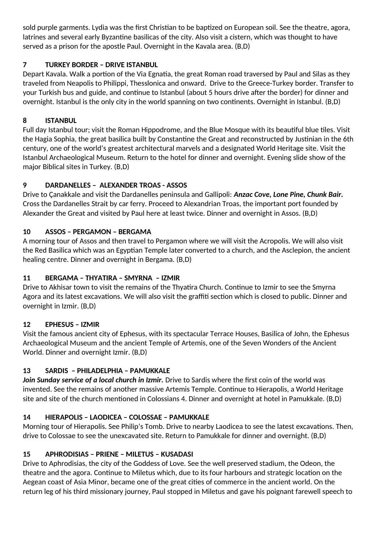sold purple garments. Lydia was the first Christian to be baptized on European soil. See the theatre, agora, latrines and several early Byzantine basilicas of the city. Also visit a cistern, which was thought to have served as a prison for the apostle Paul. Overnight in the Kavala area. (B,D)

# **7 TURKEY BORDER – DRIVE ISTANBUL**

Depart Kavala. Walk a portion of the Via Egnatia, the great Roman road traversed by Paul and Silas as they traveled from Neapolis to Philippi, Thesslonica and onward. Drive to the Greece-Turkey border. Transfer to your Turkish bus and guide, and continue to Istanbul (about 5 hours drive after the border) for dinner and overnight. Istanbul is the only city in the world spanning on two continents. Overnight in Istanbul. (B,D)

### **8 ISTANBUL**

Full day Istanbul tour; visit the Roman Hippodrome, and the Blue Mosque with its beautiful blue tiles. Visit the Hagia Sophia, the great basilica built by Constantine the Great and reconstructed by Justinian in the 6th century, one of the world's greatest architectural marvels and a designated World Heritage site. Visit the Istanbul Archaeological Museum. Return to the hotel for dinner and overnight. Evening slide show of the major Biblical sites in Turkey. (B,D)

### **9 DARDANELLES – ALEXANDER TROAS - ASSOS**

Drive to Çanakkale and visit the Dardanelles peninsula and Gallipoli: *Anzac Cove, Lone Pine, Chunk Bair.* Cross the Dardanelles Strait by car ferry. Proceed to Alexandrian Troas, the important port founded by Alexander the Great and visited by Paul here at least twice. Dinner and overnight in Assos. (B,D)

### **10 ASSOS – PERGAMON – BERGAMA**

A morning tour of Assos and then travel to Pergamon where we will visit the Acropolis. We will also visit the Red Basilica which was an Egyptian Temple later converted to a church, and the Asclepion, the ancient healing centre. Dinner and overnight in Bergama. (B,D)

### **11 BERGAMA – THYATIRA – SMYRNA – IZMIR**

Drive to Akhisar town to visit the remains of the Thyatira Church. Continue to Izmir to see the Smyrna Agora and its latest excavations. We will also visit the graffiti section which is closed to public. Dinner and overnight in Izmir. (B,D)

### **12 EPHESUS – IZMIR**

Visit the famous ancient city of Ephesus, with its spectacular Terrace Houses, Basilica of John, the Ephesus Archaeological Museum and the ancient Temple of Artemis, one of the Seven Wonders of the Ancient World. Dinner and overnight Izmir. (B,D)

# **13 SARDIS – PHILADELPHIA – PAMUKKALE**

*Join Sunday service of a local church in Izmir.* Drive to Sardis where the first coin of the world was invented. See the remains of another massive Artemis Temple. Continue to Hierapolis, a World Heritage site and site of the church mentioned in Colossians 4. Dinner and overnight at hotel in Pamukkale. (B,D)

# **14 HIERAPOLIS – LAODICEA – COLOSSAE – PAMUKKALE**

Morning tour of Hierapolis. See Philip's Tomb. Drive to nearby Laodicea to see the latest excavations. Then, drive to Colossae to see the unexcavated site. Return to Pamukkale for dinner and overnight. (B,D)

### **15 APHRODISIAS – PRIENE – MILETUS – KUSADASI**

Drive to Aphrodisias, the city of the Goddess of Love. See the well preserved stadium, the Odeon, the theatre and the agora. Continue to Miletus which, due to its four harbours and strategic location on the Aegean coast of Asia Minor, became one of the great cities of commerce in the ancient world. On the return leg of his third missionary journey, Paul stopped in Miletus and gave his poignant farewell speech to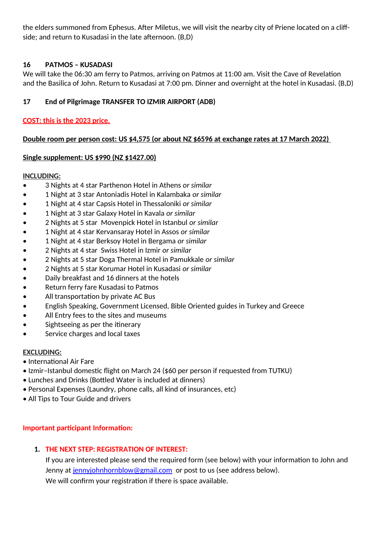the elders summoned from Ephesus. After Miletus, we will visit the nearby city of Priene located on a cliffside; and return to Kusadasi in the late afternoon. (B,D)

### **16 PATMOS – KUSADASI**

We will take the 06:30 am ferry to Patmos, arriving on Patmos at 11:00 am. Visit the Cave of Revelation and the Basilica of John. Return to Kusadasi at 7:00 pm. Dinner and overnight at the hotel in Kusadasi. (B,D)

### **17 End of Pilgrimage TRANSFER TO IZMIR AIRPORT (ADB)**

### **COST: this is the 2023 price.**

#### **Double room per person cost: US \$4,575 (or about NZ \$6596 at exchange rates at 17 March 2022)**

#### **Single supplement: US \$990 (NZ \$1427.00)**

#### **INCLUDING:**

- 3 Nights at 4 star Parthenon Hotel in Athens *or similar*
- 1 Night at 3 star Antoniadis Hotel in Kalambaka *or similar*
- 1 Night at 4 star Capsis Hotel in Thessaloniki *or similar*
- 1 Night at 3 star Galaxy Hotel in Kavala *or similar*
- 2 Nights at 5 star Movenpick Hotel in Istanbul *or similar*
- 1 Night at 4 star Kervansaray Hotel in Assos *or similar*
- 1 Night at 4 star Berksoy Hotel in Bergama *or similar*
- 2 Nights at 4 star Swiss Hotel in Izmir *or similar*
- 2 Nights at 5 star Doga Thermal Hotel in Pamukkale *or similar*
- 2 Nights at 5 star Korumar Hotel in Kusadasi *or similar*
- Daily breakfast and 16 dinners at the hotels
- Return ferry fare Kusadasi to Patmos
- All transportation by private AC Bus
- English Speaking, Government Licensed, Bible Oriented guides in Turkey and Greece
- All Entry fees to the sites and museums
- Sightseeing as per the itinerary
- Service charges and local taxes

#### **EXCLUDING:**

- International Air Fare
- Izmir–Istanbul domestic flight on March 24 (\$60 per person if requested from TUTKU)
- Lunches and Drinks (Bottled Water is included at dinners)
- Personal Expenses (Laundry, phone calls, all kind of insurances, etc)
- All Tips to Tour Guide and drivers

#### **Important participant Information:**

#### **1. THE NEXT STEP: REGISTRATION OF INTEREST:**

If you are interested please send the required form (see below) with your information to John and Jenny at [jennyjohnhornblow@gmail.com](mailto:jennyjohnhornblow@gmail.com) or post to us (see address below). We will confirm your registration if there is space available.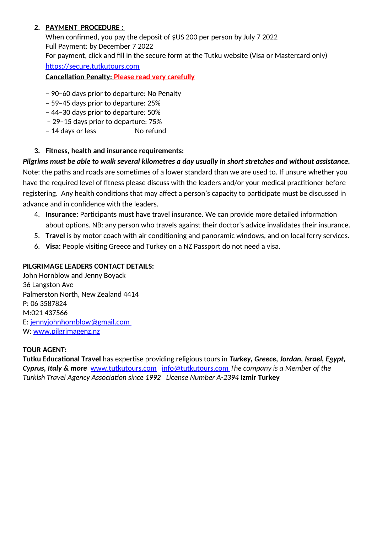#### **2. PAYMENT PROCEDURE :**

When confirmed, you pay the deposit of \$US 200 per person by July 7 2022 Full Payment: by December 7 2022 For payment, click and fill in the secure form at the Tutku website (Visa or Mastercard only)

[https://secure.tutkutours.com](https://secure.tutkutours.com/)

 **Cancellation Penalty: Please read very carefully**

- 90–60 days prior to departure: No Penalty
- 59–45 days prior to departure: 25%
- 44–30 days prior to departure: 50%
- 29–15 days prior to departure: 75%
- 14 days or less No refund
- **3. Fitness, health and insurance requirements:**

### *Pilgrims must be able to walk several kilometres a day usually in short stretches and without assistance.*

Note: the paths and roads are sometimes of a lower standard than we are used to. If unsure whether you have the required level of fitness please discuss with the leaders and/or your medical practitioner before registering. Any health conditions that may affect a person's capacity to participate must be discussed in advance and in confidence with the leaders.

- 4. **Insurance:** Participants must have travel insurance. We can provide more detailed information about options. NB: any person who travels against their doctor's advice invalidates their insurance.
- 5. **Travel** is by motor coach with air conditioning and panoramic windows, and on local ferry services.
- 6. **Visa:** People visiting Greece and Turkey on a NZ Passport do not need a visa.

### **PILGRIMAGE LEADERS CONTACT DETAILS:**

John Hornblow and Jenny Boyack 36 Langston Ave Palmerston North, New Zealand 4414 P: 06 3587824 M:021 437566 E: [jennyjohnhornblow@gmail.com](mailto:jennyjohnhornblow@gmail.com) W: [www.pilgrimagenz.nz](http://www.pilgrimagenz.nz/)

### **TOUR AGENT:**

**Tutku Educational Travel** has expertise providing religious tours in *Turkey, Greece, Jordan, Israel, Egypt, Cyprus, Italy & more* [www.tutkutours.com](http://www.tutkutours.com/) [info@tutkutours.com](mailto:info@tutkutours.com) *The company is a Member of the Turkish Travel Agency Association since 1992 License Number A-2394* **Izmir Turkey**